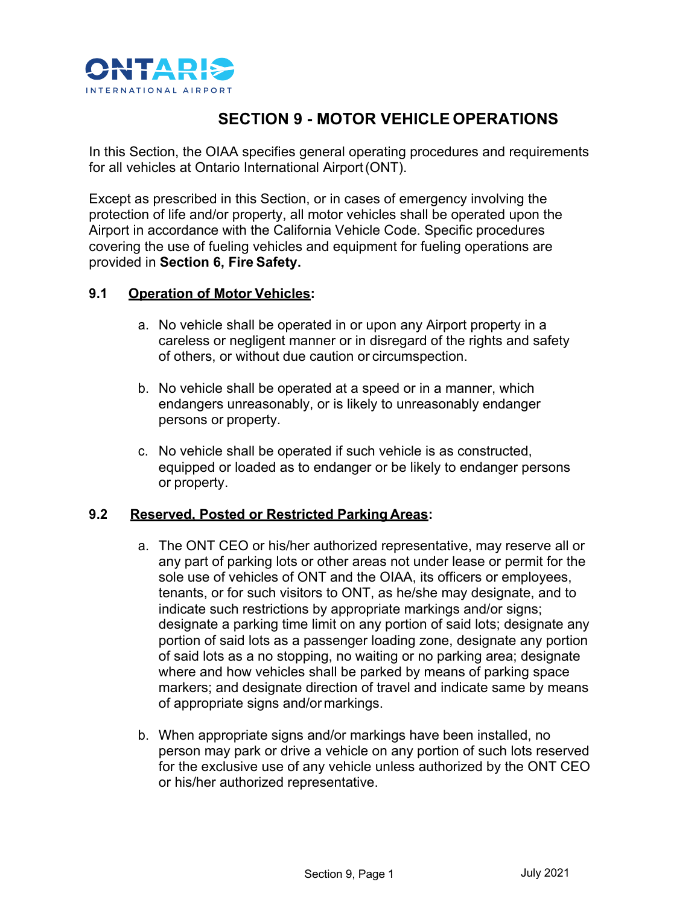

# **SECTION 9 - MOTOR VEHICLE OPERATIONS**

In this Section, the OIAA specifies general operating procedures and requirements for all vehicles at Ontario International Airport(ONT).

Except as prescribed in this Section, or in cases of emergency involving the protection of life and/or property, all motor vehicles shall be operated upon the Airport in accordance with the California Vehicle Code. Specific procedures covering the use of fueling vehicles and equipment for fueling operations are provided in **Section 6, Fire Safety.**

#### **9.1 Operation of Motor Vehicles:**

- a. No vehicle shall be operated in or upon any Airport property in a careless or negligent manner or in disregard of the rights and safety of others, or without due caution or circumspection.
- b. No vehicle shall be operated at a speed or in a manner, which endangers unreasonably, or is likely to unreasonably endanger persons or property.
- c. No vehicle shall be operated if such vehicle is as constructed, equipped or loaded as to endanger or be likely to endanger persons or property.

# **9.2 Reserved, Posted or Restricted Parking Areas:**

- a. The ONT CEO or his/her authorized representative, may reserve all or any part of parking lots or other areas not under lease or permit for the sole use of vehicles of ONT and the OIAA, its officers or employees, tenants, or for such visitors to ONT, as he/she may designate, and to indicate such restrictions by appropriate markings and/or signs; designate a parking time limit on any portion of said lots; designate any portion of said lots as a passenger loading zone, designate any portion of said lots as a no stopping, no waiting or no parking area; designate where and how vehicles shall be parked by means of parking space markers; and designate direction of travel and indicate same by means of appropriate signs and/or markings.
- b. When appropriate signs and/or markings have been installed, no person may park or drive a vehicle on any portion of such lots reserved for the exclusive use of any vehicle unless authorized by the ONT CEO or his/her authorized representative.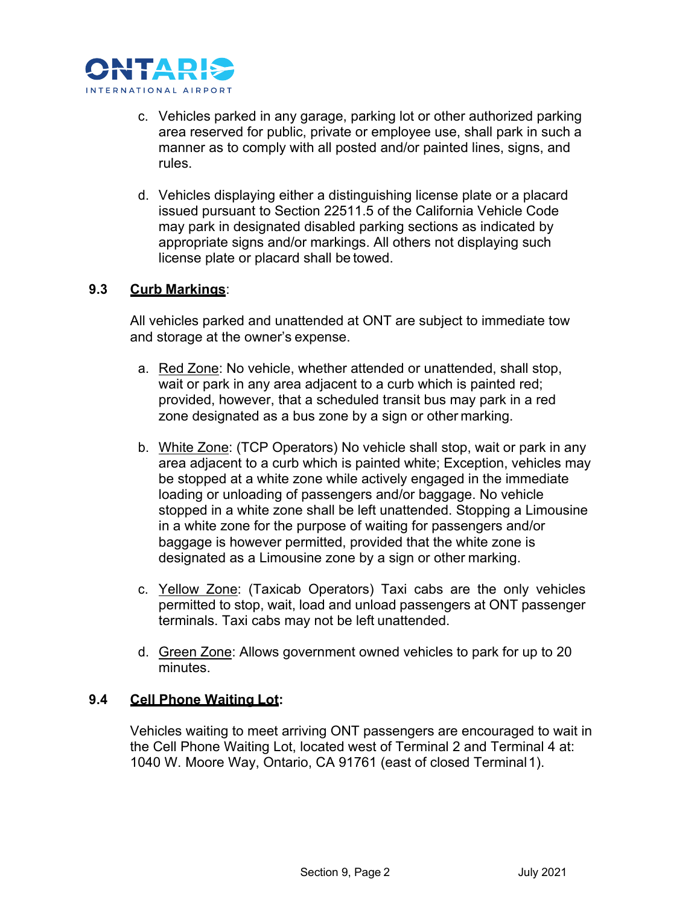

- c. Vehicles parked in any garage, parking lot or other authorized parking area reserved for public, private or employee use, shall park in such a manner as to comply with all posted and/or painted lines, signs, and rules.
- d. Vehicles displaying either a distinguishing license plate or a placard issued pursuant to Section 22511.5 of the California Vehicle Code may park in designated disabled parking sections as indicated by appropriate signs and/or markings. All others not displaying such license plate or placard shall be towed.

# **9.3 Curb Markings**:

All vehicles parked and unattended at ONT are subject to immediate tow and storage at the owner's expense.

- a. Red Zone: No vehicle, whether attended or unattended, shall stop, wait or park in any area adjacent to a curb which is painted red; provided, however, that a scheduled transit bus may park in a red zone designated as a bus zone by a sign or other marking.
- b. White Zone: (TCP Operators) No vehicle shall stop, wait or park in any area adjacent to a curb which is painted white; Exception, vehicles may be stopped at a white zone while actively engaged in the immediate loading or unloading of passengers and/or baggage. No vehicle stopped in a white zone shall be left unattended. Stopping a Limousine in a white zone for the purpose of waiting for passengers and/or baggage is however permitted, provided that the white zone is designated as a Limousine zone by a sign or other marking.
- c. Yellow Zone: (Taxicab Operators) Taxi cabs are the only vehicles permitted to stop, wait, load and unload passengers at ONT passenger terminals. Taxi cabs may not be left unattended.
- d. Green Zone: Allows government owned vehicles to park for up to 20 minutes.

# **9.4 Cell Phone Waiting Lot:**

Vehicles waiting to meet arriving ONT passengers are encouraged to wait in the Cell Phone Waiting Lot, located west of Terminal 2 and Terminal 4 at: 1040 W. Moore Way, Ontario, CA 91761 (east of closed Terminal1).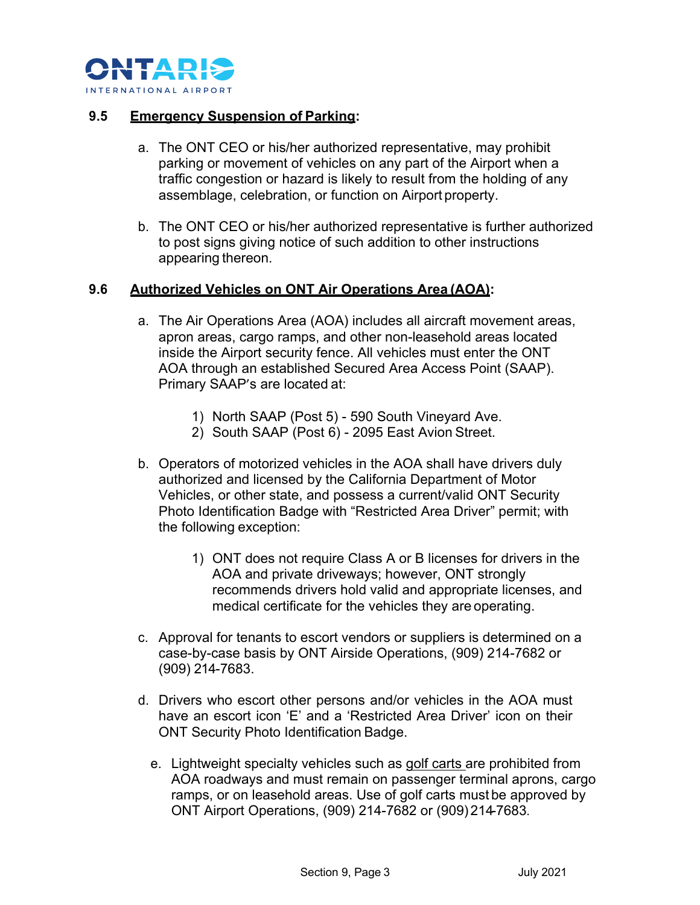

#### **9.5 Emergency Suspension of Parking:**

- a. The ONT CEO or his/her authorized representative, may prohibit parking or movement of vehicles on any part of the Airport when a traffic congestion or hazard is likely to result from the holding of any assemblage, celebration, or function on Airport property.
- b. The ONT CEO or his/her authorized representative is further authorized to post signs giving notice of such addition to other instructions appearing thereon.

#### **9.6 Authorized Vehicles on ONT Air Operations Area (AOA):**

- a. The Air Operations Area (AOA) includes all aircraft movement areas, apron areas, cargo ramps, and other non-leasehold areas located inside the Airport security fence. All vehicles must enter the ONT AOA through an established Secured Area Access Point (SAAP). Primary SAAP's are located at:
	- 1) North SAAP (Post 5) 590 South Vineyard Ave.
	- 2) South SAAP (Post 6) 2095 East Avion Street.
- b. Operators of motorized vehicles in the AOA shall have drivers duly authorized and licensed by the California Department of Motor Vehicles, or other state, and possess a current/valid ONT Security Photo Identification Badge with "Restricted Area Driver" permit; with the following exception:
	- 1) ONT does not require Class A or B licenses for drivers in the AOA and private driveways; however, ONT strongly recommends drivers hold valid and appropriate licenses, and medical certificate for the vehicles they are operating.
- c. Approval for tenants to escort vendors or suppliers is determined on a case-by-case basis by ONT Airside Operations, (909) 214-7682 or (909) 214-7683.
- d. Drivers who escort other persons and/or vehicles in the AOA must have an escort icon 'E' and a 'Restricted Area Driver' icon on their ONT Security Photo Identification Badge.
	- e. Lightweight specialty vehicles such as golf carts are prohibited from AOA roadways and must remain on passenger terminal aprons, cargo ramps, or on leasehold areas. Use of golf carts must be approved by ONT Airport Operations, (909) 214-7682 or (909) 214-7683.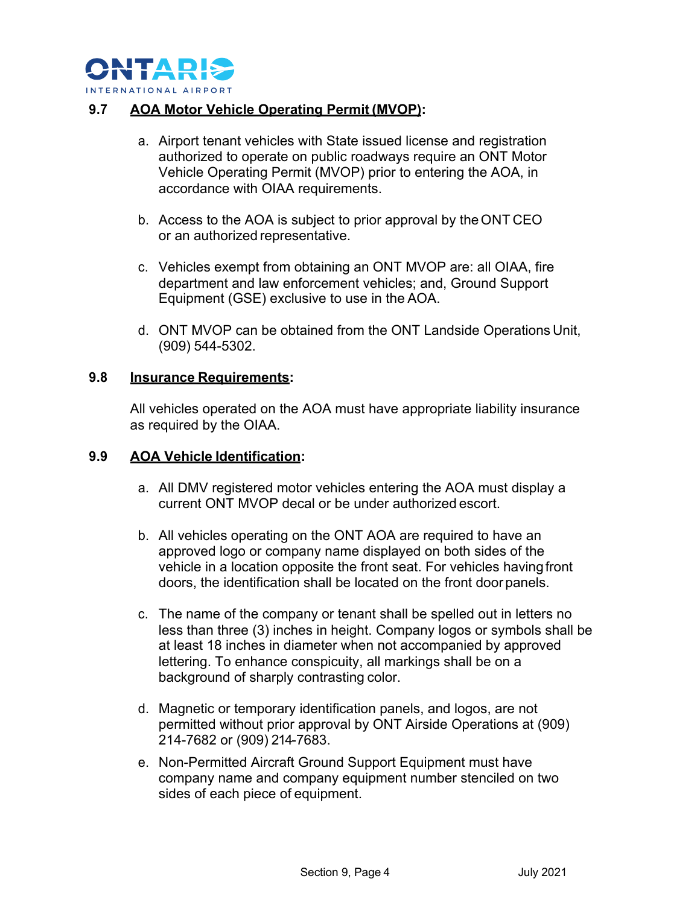

### **9.7 AOA Motor Vehicle Operating Permit (MVOP):**

- a. Airport tenant vehicles with State issued license and registration authorized to operate on public roadways require an ONT Motor Vehicle Operating Permit (MVOP) prior to entering the AOA, in accordance with OIAA requirements.
- b. Access to the AOA is subject to prior approval by the ONT CEO or an authorized representative.
- c. Vehicles exempt from obtaining an ONT MVOP are: all OIAA, fire department and law enforcement vehicles; and, Ground Support Equipment (GSE) exclusive to use in the AOA.
- d. ONT MVOP can be obtained from the ONT Landside Operations Unit, (909) 544-5302.

#### **9.8 Insurance Requirements:**

All vehicles operated on the AOA must have appropriate liability insurance as required by the OIAA.

#### **9.9 AOA Vehicle Identification:**

- a. All DMV registered motor vehicles entering the AOA must display a current ONT MVOP decal or be under authorized escort.
- b. All vehicles operating on the ONT AOA are required to have an approved logo or company name displayed on both sides of the vehicle in a location opposite the front seat. For vehicles havingfront doors, the identification shall be located on the front door panels.
- c. The name of the company or tenant shall be spelled out in letters no less than three (3) inches in height. Company logos or symbols shall be at least 18 inches in diameter when not accompanied by approved lettering. To enhance conspicuity, all markings shall be on a background of sharply contrasting color.
- d. Magnetic or temporary identification panels, and logos, are not permitted without prior approval by ONT Airside Operations at (909) 214-7682 or (909) 214-7683.
- e. Non-Permitted Aircraft Ground Support Equipment must have company name and company equipment number stenciled on two sides of each piece of equipment.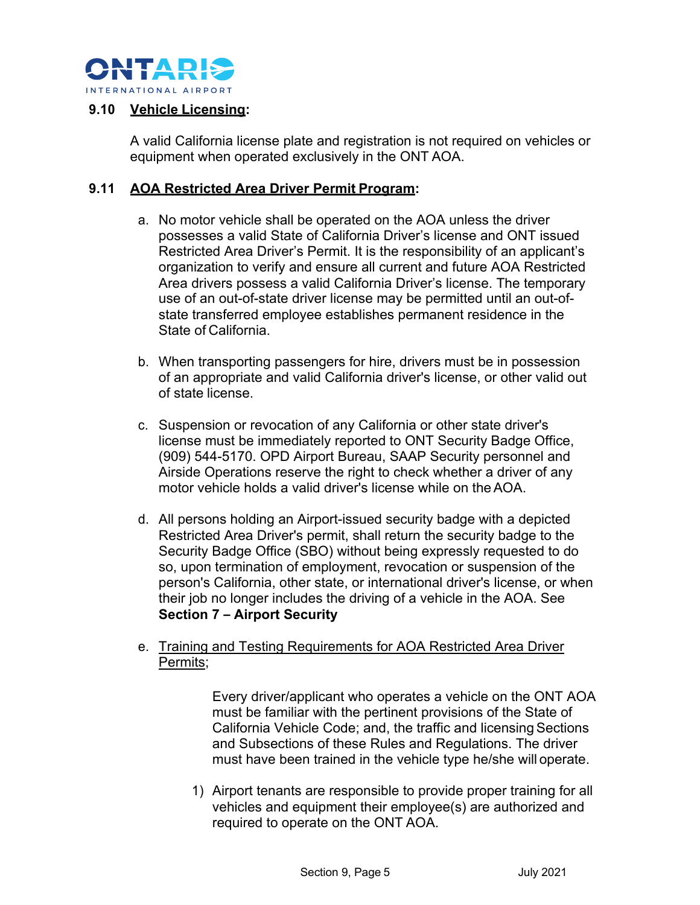

#### **9.10 Vehicle Licensing:**

A valid California license plate and registration is not required on vehicles or equipment when operated exclusively in the ONT AOA.

#### **9.11 AOA Restricted Area Driver Permit Program:**

- a. No motor vehicle shall be operated on the AOA unless the driver possesses a valid State of California Driver's license and ONT issued Restricted Area Driver's Permit. It is the responsibility of an applicant's organization to verify and ensure all current and future AOA Restricted Area drivers possess a valid California Driver's license. The temporary use of an out-of-state driver license may be permitted until an out-ofstate transferred employee establishes permanent residence in the State of California.
- b. When transporting passengers for hire, drivers must be in possession of an appropriate and valid California driver's license, or other valid out of state license.
- c. Suspension or revocation of any California or other state driver's license must be immediately reported to ONT Security Badge Office, (909) 544-5170. OPD Airport Bureau, SAAP Security personnel and Airside Operations reserve the right to check whether a driver of any motor vehicle holds a valid driver's license while on theAOA.
- d. All persons holding an Airport-issued security badge with a depicted Restricted Area Driver's permit, shall return the security badge to the Security Badge Office (SBO) without being expressly requested to do so, upon termination of employment, revocation or suspension of the person's California, other state, or international driver's license, or when their job no longer includes the driving of a vehicle in the AOA. See **Section 7 – Airport Security**
- e. Training and Testing Requirements for AOA Restricted Area Driver Permits;

Every driver/applicant who operates a vehicle on the ONT AOA must be familiar with the pertinent provisions of the State of California Vehicle Code; and, the traffic and licensing Sections and Subsections of these Rules and Regulations. The driver must have been trained in the vehicle type he/she will operate.

1) Airport tenants are responsible to provide proper training for all vehicles and equipment their employee(s) are authorized and required to operate on the ONT AOA.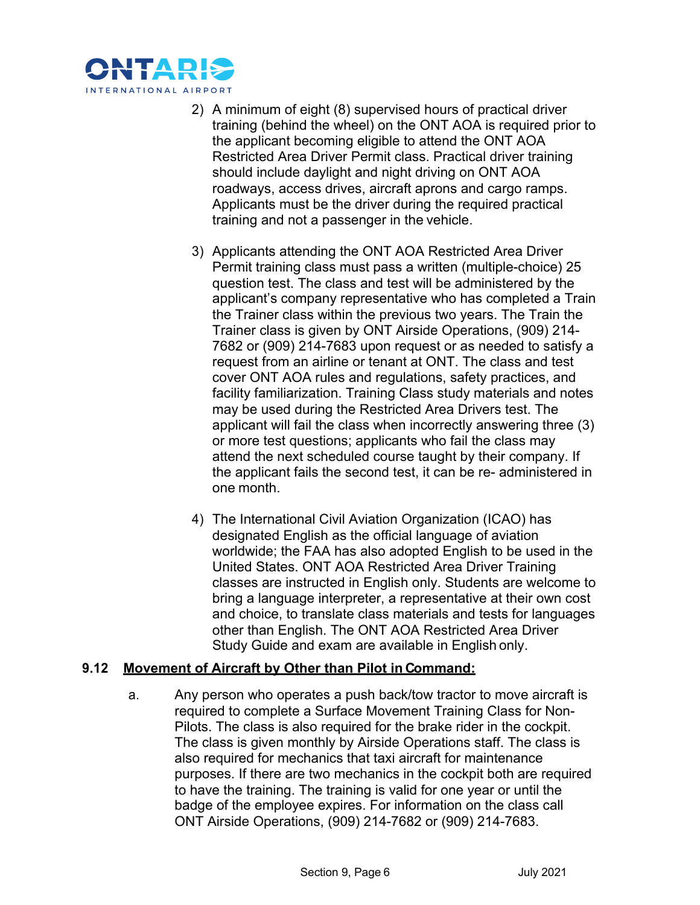

- 2) A minimum of eight (8) supervised hours of practical driver training (behind the wheel) on the ONT AOA is required prior to the applicant becoming eligible to attend the ONT AOA Restricted Area Driver Permit class. Practical driver training should include daylight and night driving on ONT AOA roadways, access drives, aircraft aprons and cargo ramps. Applicants must be the driver during the required practical training and not a passenger in the vehicle.
- 3) Applicants attending the ONT AOA Restricted Area Driver Permit training class must pass a written (multiple-choice) 25 question test. The class and test will be administered by the applicant's company representative who has completed a Train the Trainer class within the previous two years. The Train the Trainer class is given by ONT Airside Operations, (909) 214- 7682 or (909) 214-7683 upon request or as needed to satisfy a request from an airline or tenant at ONT. The class and test cover ONT AOA rules and regulations, safety practices, and facility familiarization. Training Class study materials and notes may be used during the Restricted Area Drivers test. The applicant will fail the class when incorrectly answering three (3) or more test questions; applicants who fail the class may attend the next scheduled course taught by their company. If the applicant fails the second test, it can be re- administered in one month.
- 4) The International Civil Aviation Organization (ICAO) has designated English as the official language of aviation worldwide; the FAA has also adopted English to be used in the United States. ONT AOA Restricted Area Driver Training classes are instructed in English only. Students are welcome to bring a language interpreter, a representative at their own cost and choice, to translate class materials and tests for languages other than English. The ONT AOA Restricted Area Driver Study Guide and exam are available in English only.

# **9.12 Movement of Aircraft by Other than Pilot in Command:**

a. Any person who operates a push back/tow tractor to move aircraft is required to complete a Surface Movement Training Class for Non-Pilots. The class is also required for the brake rider in the cockpit. The class is given monthly by Airside Operations staff. The class is also required for mechanics that taxi aircraft for maintenance purposes. If there are two mechanics in the cockpit both are required to have the training. The training is valid for one year or until the badge of the employee expires. For information on the class call ONT Airside Operations, (909) 214-7682 or (909) 214-7683.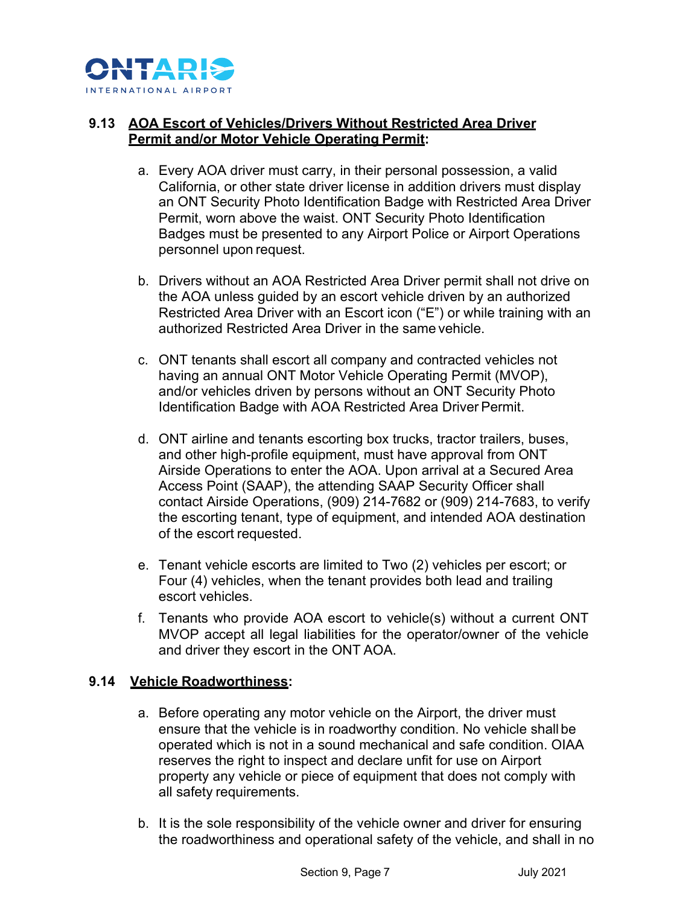

# **9.13 AOA Escort of Vehicles/Drivers Without Restricted Area Driver Permit and/or Motor Vehicle Operating Permit:**

- a. Every AOA driver must carry, in their personal possession, a valid California, or other state driver license in addition drivers must display an ONT Security Photo Identification Badge with Restricted Area Driver Permit, worn above the waist. ONT Security Photo Identification Badges must be presented to any Airport Police or Airport Operations personnel upon request.
- b. Drivers without an AOA Restricted Area Driver permit shall not drive on the AOA unless guided by an escort vehicle driven by an authorized Restricted Area Driver with an Escort icon ("E") or while training with an authorized Restricted Area Driver in the same vehicle.
- c. ONT tenants shall escort all company and contracted vehicles not having an annual ONT Motor Vehicle Operating Permit (MVOP), and/or vehicles driven by persons without an ONT Security Photo Identification Badge with AOA Restricted Area Driver Permit.
- d. ONT airline and tenants escorting box trucks, tractor trailers, buses, and other high-profile equipment, must have approval from ONT Airside Operations to enter the AOA. Upon arrival at a Secured Area Access Point (SAAP), the attending SAAP Security Officer shall contact Airside Operations, (909) 214-7682 or (909) 214-7683, to verify the escorting tenant, type of equipment, and intended AOA destination of the escort requested.
- e. Tenant vehicle escorts are limited to Two (2) vehicles per escort; or Four (4) vehicles, when the tenant provides both lead and trailing escort vehicles.
- f. Tenants who provide AOA escort to vehicle(s) without a current ONT MVOP accept all legal liabilities for the operator/owner of the vehicle and driver they escort in the ONT AOA.

# **9.14 Vehicle Roadworthiness:**

- a. Before operating any motor vehicle on the Airport, the driver must ensure that the vehicle is in roadworthy condition. No vehicle shall be operated which is not in a sound mechanical and safe condition. OIAA reserves the right to inspect and declare unfit for use on Airport property any vehicle or piece of equipment that does not comply with all safety requirements.
- b. It is the sole responsibility of the vehicle owner and driver for ensuring the roadworthiness and operational safety of the vehicle, and shall in no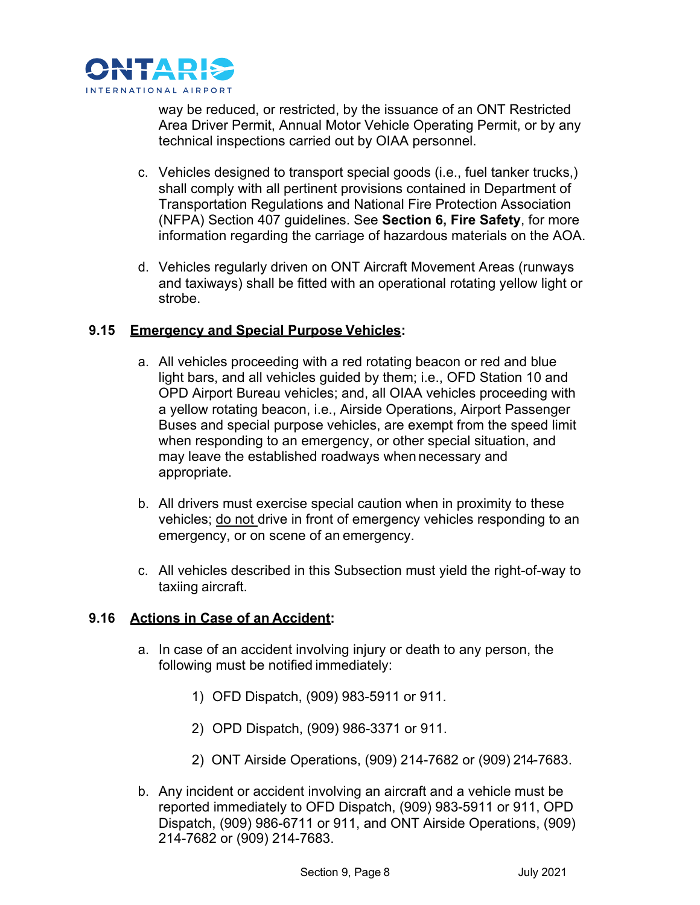

way be reduced, or restricted, by the issuance of an ONT Restricted Area Driver Permit, Annual Motor Vehicle Operating Permit, or by any technical inspections carried out by OIAA personnel.

- c. Vehicles designed to transport special goods (i.e., fuel tanker trucks,) shall comply with all pertinent provisions contained in Department of Transportation Regulations and National Fire Protection Association (NFPA) Section 407 guidelines. See **Section 6, Fire Safety**, for more information regarding the carriage of hazardous materials on the AOA.
- d. Vehicles regularly driven on ONT Aircraft Movement Areas (runways and taxiways) shall be fitted with an operational rotating yellow light or strobe.

#### **9.15 Emergency and Special Purpose Vehicles:**

- a. All vehicles proceeding with a red rotating beacon or red and blue light bars, and all vehicles guided by them; i.e., OFD Station 10 and OPD Airport Bureau vehicles; and, all OIAA vehicles proceeding with a yellow rotating beacon, i.e., Airside Operations, Airport Passenger Buses and special purpose vehicles, are exempt from the speed limit when responding to an emergency, or other special situation, and may leave the established roadways when necessary and appropriate.
- b. All drivers must exercise special caution when in proximity to these vehicles; do not drive in front of emergency vehicles responding to an emergency, or on scene of an emergency.
- c. All vehicles described in this Subsection must yield the right-of-way to taxiing aircraft.

# **9.16 Actions in Case of an Accident:**

- a. In case of an accident involving injury or death to any person, the following must be notified immediately:
	- 1) OFD Dispatch, (909) 983-5911 or 911.
	- 2) OPD Dispatch, (909) 986-3371 or 911.
	- 2) ONT Airside Operations, (909) 214-7682 or (909) 214-7683.
- b. Any incident or accident involving an aircraft and a vehicle must be reported immediately to OFD Dispatch, (909) 983-5911 or 911, OPD Dispatch, (909) 986-6711 or 911, and ONT Airside Operations, (909) 214-7682 or (909) 214-7683.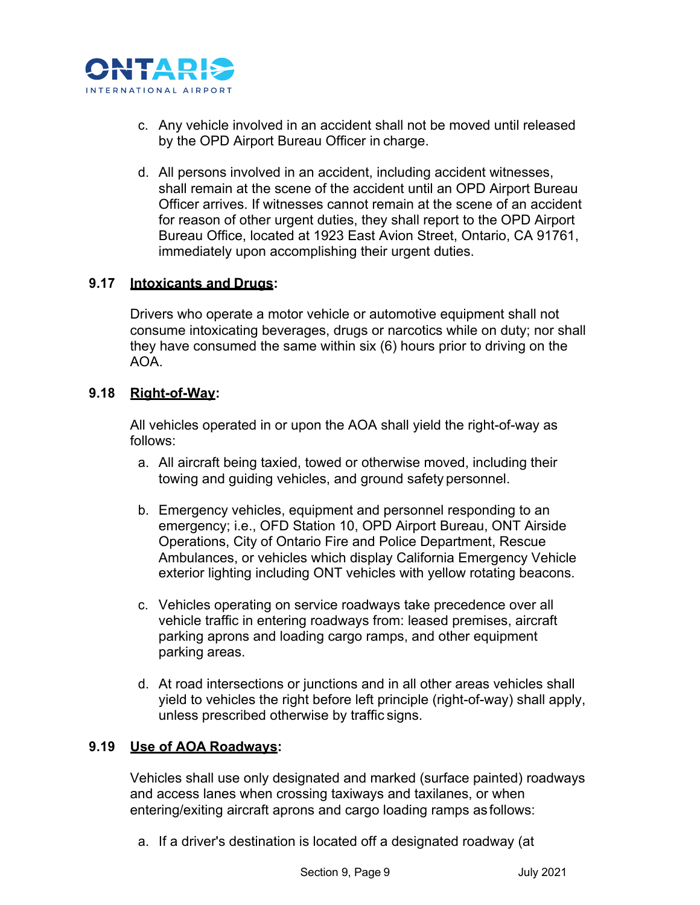

- c. Any vehicle involved in an accident shall not be moved until released by the OPD Airport Bureau Officer in charge.
- d. All persons involved in an accident, including accident witnesses, shall remain at the scene of the accident until an OPD Airport Bureau Officer arrives. If witnesses cannot remain at the scene of an accident for reason of other urgent duties, they shall report to the OPD Airport Bureau Office, located at 1923 East Avion Street, Ontario, CA 91761, immediately upon accomplishing their urgent duties.

# **9.17 Intoxicants and Drugs:**

Drivers who operate a motor vehicle or automotive equipment shall not consume intoxicating beverages, drugs or narcotics while on duty; nor shall they have consumed the same within six (6) hours prior to driving on the AOA.

#### **9.18 Right-of-Way:**

All vehicles operated in or upon the AOA shall yield the right-of-way as follows:

- a. All aircraft being taxied, towed or otherwise moved, including their towing and guiding vehicles, and ground safety personnel.
- b. Emergency vehicles, equipment and personnel responding to an emergency; i.e., OFD Station 10, OPD Airport Bureau, ONT Airside Operations, City of Ontario Fire and Police Department, Rescue Ambulances, or vehicles which display California Emergency Vehicle exterior lighting including ONT vehicles with yellow rotating beacons.
- c. Vehicles operating on service roadways take precedence over all vehicle traffic in entering roadways from: leased premises, aircraft parking aprons and loading cargo ramps, and other equipment parking areas.
- d. At road intersections or junctions and in all other areas vehicles shall yield to vehicles the right before left principle (right-of-way) shall apply, unless prescribed otherwise by traffic signs.

#### **9.19 Use of AOA Roadways:**

Vehicles shall use only designated and marked (surface painted) roadways and access lanes when crossing taxiways and taxilanes, or when entering/exiting aircraft aprons and cargo loading ramps as follows:

a. If a driver's destination is located off a designated roadway (at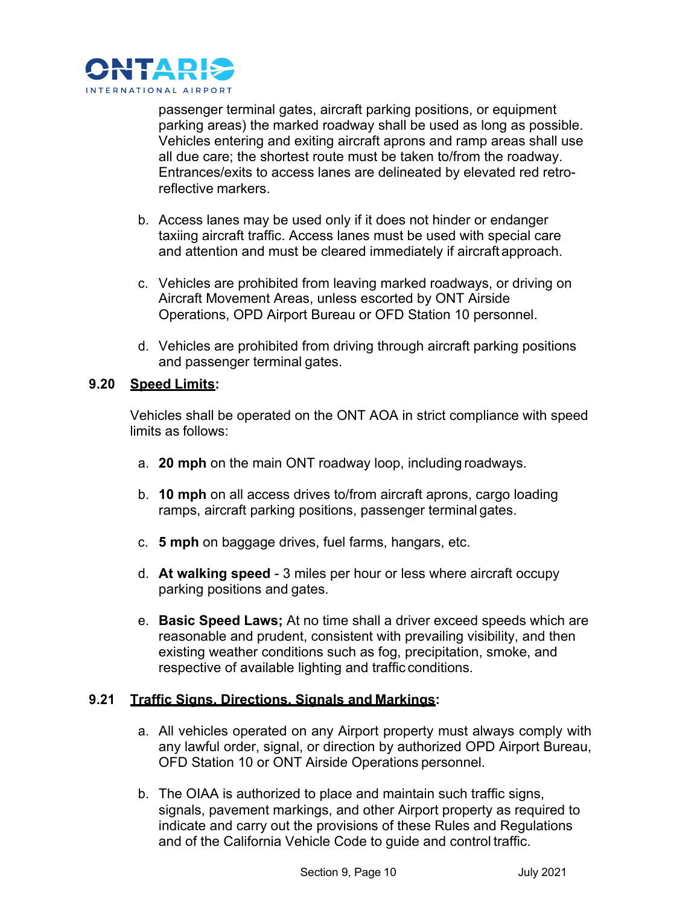

passenger terminal gates, aircraft parking positions, or equipment parking areas) the marked roadway shall be used as long as possible. Vehicles entering and exiting aircraft aprons and ramp areas shall use all due care; the shortest route must be taken to/from the roadway. Entrances/exits to access lanes are delineated by elevated red retroreflective markers.

- b. Access lanes may be used only if it does not hinder or endanger taxiing aircraft traffic. Access lanes must be used with special care and attention and must be cleared immediately if aircraft approach.
- c. Vehicles are prohibited from leaving marked roadways, or driving on Aircraft Movement Areas, unless escorted by ONT Airside Operations, OPD Airport Bureau or OFD Station 10 personnel.
- d. Vehicles are prohibited from driving through aircraft parking positions and passenger terminal gates.

#### **9.20 Speed Limits:**

Vehicles shall be operated on the ONT AOA in strict compliance with speed limits as follows:

- a. **20 mph** on the main ONT roadway loop, including roadways.
- b. **10 mph** on all access drives to/from aircraft aprons, cargo loading ramps, aircraft parking positions, passenger terminal gates.
- c. **5 mph** on baggage drives, fuel farms, hangars, etc.
- d. **At walking speed**  3 miles per hour or less where aircraft occupy parking positions and gates.
- e. **Basic Speed Laws;** At no time shall a driver exceed speeds which are reasonable and prudent, consistent with prevailing visibility, and then existing weather conditions such as fog, precipitation, smoke, and respective of available lighting and traffic conditions.

# **9.21 Traffic Signs, Directions, Signals and Markings:**

- a. All vehicles operated on any Airport property must always comply with any lawful order, signal, or direction by authorized OPD Airport Bureau, OFD Station 10 or ONT Airside Operations personnel.
- b. The OIAA is authorized to place and maintain such traffic signs, signals, pavement markings, and other Airport property as required to indicate and carry out the provisions of these Rules and Regulations and of the California Vehicle Code to guide and control traffic.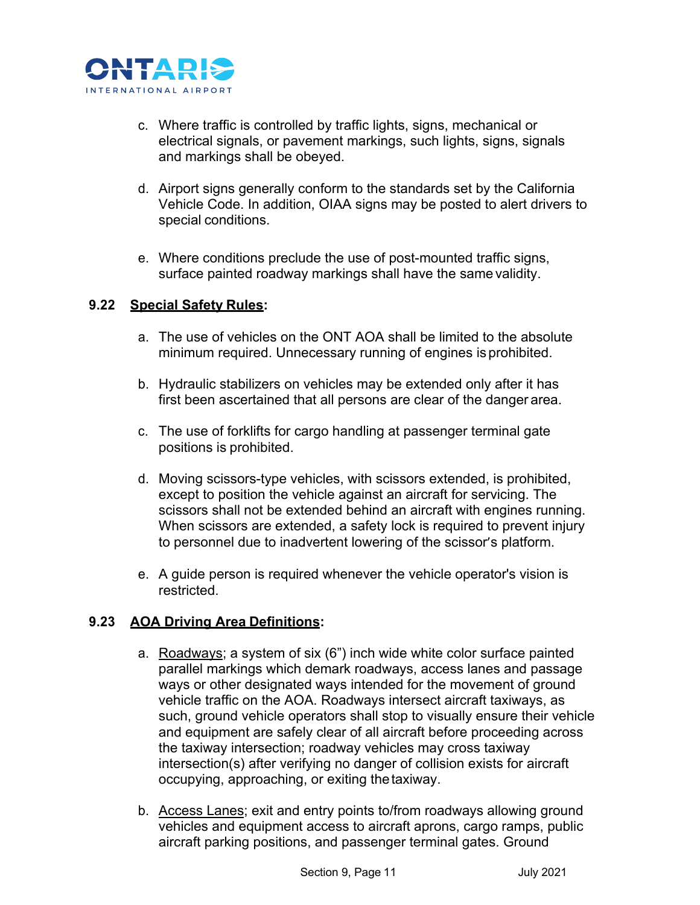

- c. Where traffic is controlled by traffic lights, signs, mechanical or electrical signals, or pavement markings, such lights, signs, signals and markings shall be obeyed.
- d. Airport signs generally conform to the standards set by the California Vehicle Code. In addition, OIAA signs may be posted to alert drivers to special conditions.
- e. Where conditions preclude the use of post-mounted traffic signs, surface painted roadway markings shall have the same validity.

#### **9.22 Special Safety Rules:**

- a. The use of vehicles on the ONT AOA shall be limited to the absolute minimum required. Unnecessary running of engines is prohibited.
- b. Hydraulic stabilizers on vehicles may be extended only after it has first been ascertained that all persons are clear of the danger area.
- c. The use of forklifts for cargo handling at passenger terminal gate positions is prohibited.
- d. Moving scissors-type vehicles, with scissors extended, is prohibited, except to position the vehicle against an aircraft for servicing. The scissors shall not be extended behind an aircraft with engines running. When scissors are extended, a safety lock is required to prevent injury to personnel due to inadvertent lowering of the scissor's platform.
- e. A guide person is required whenever the vehicle operator's vision is restricted.

# **9.23 AOA Driving Area Definitions:**

- a. Roadways; a system of six (6") inch wide white color surface painted parallel markings which demark roadways, access lanes and passage ways or other designated ways intended for the movement of ground vehicle traffic on the AOA. Roadways intersect aircraft taxiways, as such, ground vehicle operators shall stop to visually ensure their vehicle and equipment are safely clear of all aircraft before proceeding across the taxiway intersection; roadway vehicles may cross taxiway intersection(s) after verifying no danger of collision exists for aircraft occupying, approaching, or exiting thetaxiway.
- b. Access Lanes; exit and entry points to/from roadways allowing ground vehicles and equipment access to aircraft aprons, cargo ramps, public aircraft parking positions, and passenger terminal gates. Ground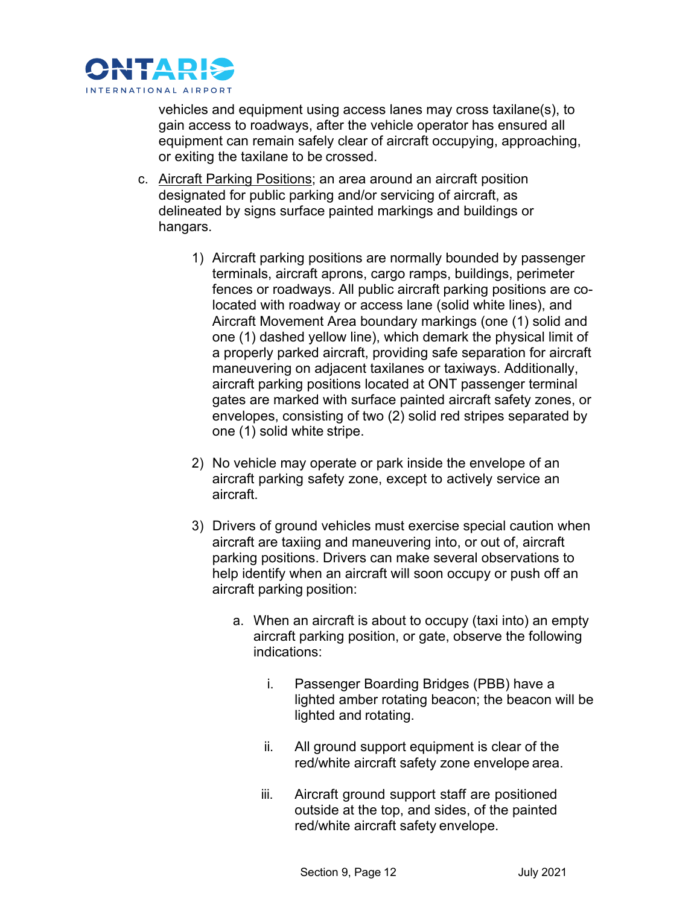

vehicles and equipment using access lanes may cross taxilane(s), to gain access to roadways, after the vehicle operator has ensured all equipment can remain safely clear of aircraft occupying, approaching, or exiting the taxilane to be crossed.

- c. Aircraft Parking Positions; an area around an aircraft position designated for public parking and/or servicing of aircraft, as delineated by signs surface painted markings and buildings or hangars.
	- 1) Aircraft parking positions are normally bounded by passenger terminals, aircraft aprons, cargo ramps, buildings, perimeter fences or roadways. All public aircraft parking positions are colocated with roadway or access lane (solid white lines), and Aircraft Movement Area boundary markings (one (1) solid and one (1) dashed yellow line), which demark the physical limit of a properly parked aircraft, providing safe separation for aircraft maneuvering on adjacent taxilanes or taxiways. Additionally, aircraft parking positions located at ONT passenger terminal gates are marked with surface painted aircraft safety zones, or envelopes, consisting of two (2) solid red stripes separated by one (1) solid white stripe.
	- 2) No vehicle may operate or park inside the envelope of an aircraft parking safety zone, except to actively service an aircraft.
	- 3) Drivers of ground vehicles must exercise special caution when aircraft are taxiing and maneuvering into, or out of, aircraft parking positions. Drivers can make several observations to help identify when an aircraft will soon occupy or push off an aircraft parking position:
		- a. When an aircraft is about to occupy (taxi into) an empty aircraft parking position, or gate, observe the following indications:
			- i. Passenger Boarding Bridges (PBB) have a lighted amber rotating beacon; the beacon will be lighted and rotating.
			- ii. All ground support equipment is clear of the red/white aircraft safety zone envelope area.
			- iii. Aircraft ground support staff are positioned outside at the top, and sides, of the painted red/white aircraft safety envelope.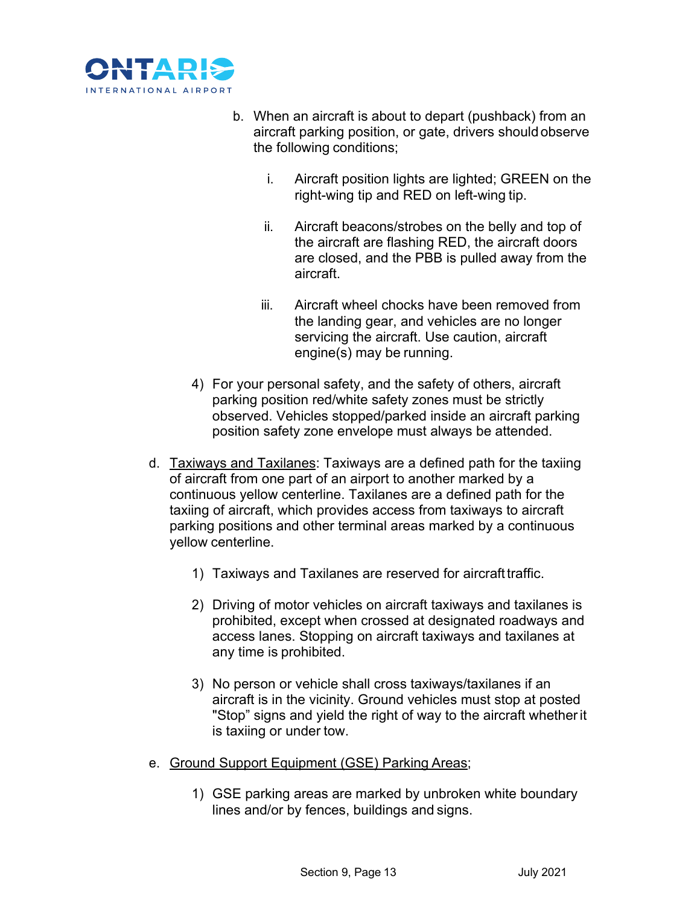

- b. When an aircraft is about to depart (pushback) from an aircraft parking position, or gate, drivers should observe the following conditions;
	- i. Aircraft position lights are lighted; GREEN on the right-wing tip and RED on left-wing tip.
	- ii. Aircraft beacons/strobes on the belly and top of the aircraft are flashing RED, the aircraft doors are closed, and the PBB is pulled away from the aircraft.
	- iii. Aircraft wheel chocks have been removed from the landing gear, and vehicles are no longer servicing the aircraft. Use caution, aircraft engine(s) may be running.
- 4) For your personal safety, and the safety of others, aircraft parking position red/white safety zones must be strictly observed. Vehicles stopped/parked inside an aircraft parking position safety zone envelope must always be attended.
- d. Taxiways and Taxilanes: Taxiways are a defined path for the taxiing of aircraft from one part of an airport to another marked by a continuous yellow centerline. Taxilanes are a defined path for the taxiing of aircraft, which provides access from taxiways to aircraft parking positions and other terminal areas marked by a continuous yellow centerline.
	- 1) Taxiways and Taxilanes are reserved for aircraft traffic.
	- 2) Driving of motor vehicles on aircraft taxiways and taxilanes is prohibited, except when crossed at designated roadways and access lanes. Stopping on aircraft taxiways and taxilanes at any time is prohibited.
	- 3) No person or vehicle shall cross taxiways/taxilanes if an aircraft is in the vicinity. Ground vehicles must stop at posted "Stop" signs and yield the right of way to the aircraft whetherit is taxiing or under tow.
- e. Ground Support Equipment (GSE) Parking Areas;
	- 1) GSE parking areas are marked by unbroken white boundary lines and/or by fences, buildings and signs.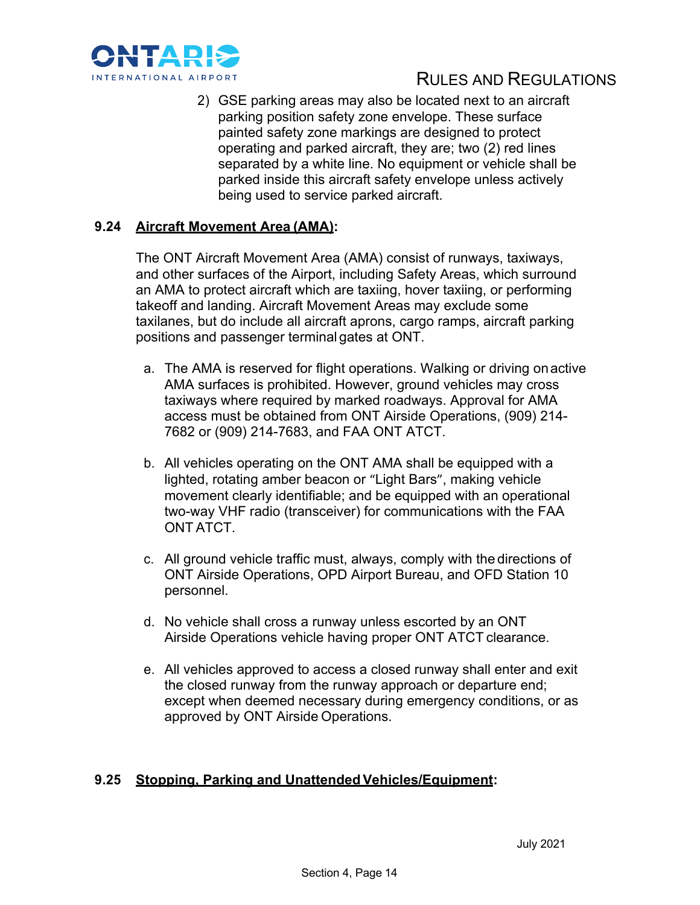

2) GSE parking areas may also be located next to an aircraft parking position safety zone envelope. These surface painted safety zone markings are designed to protect operating and parked aircraft, they are; two (2) red lines separated by a white line. No equipment or vehicle shall be parked inside this aircraft safety envelope unless actively being used to service parked aircraft.

# **9.24 Aircraft Movement Area (AMA):**

The ONT Aircraft Movement Area (AMA) consist of runways, taxiways, and other surfaces of the Airport, including Safety Areas, which surround an AMA to protect aircraft which are taxiing, hover taxiing, or performing takeoff and landing. Aircraft Movement Areas may exclude some taxilanes, but do include all aircraft aprons, cargo ramps, aircraft parking positions and passenger terminal gates at ONT.

- a. The AMA is reserved for flight operations. Walking or driving onactive AMA surfaces is prohibited. However, ground vehicles may cross taxiways where required by marked roadways. Approval for AMA access must be obtained from ONT Airside Operations, (909) 214- 7682 or (909) 214-7683, and FAA ONT ATCT.
- b. All vehicles operating on the ONT AMA shall be equipped with a lighted, rotating amber beacon or "Light Bars", making vehicle movement clearly identifiable; and be equipped with an operational two-way VHF radio (transceiver) for communications with the FAA ONT ATCT.
- c. All ground vehicle traffic must, always, comply with the directions of ONT Airside Operations, OPD Airport Bureau, and OFD Station 10 personnel.
- d. No vehicle shall cross a runway unless escorted by an ONT Airside Operations vehicle having proper ONT ATCT clearance.
- e. All vehicles approved to access a closed runway shall enter and exit the closed runway from the runway approach or departure end; except when deemed necessary during emergency conditions, or as approved by ONT Airside Operations.

# **9.25 Stopping, Parking and UnattendedVehicles/Equipment:**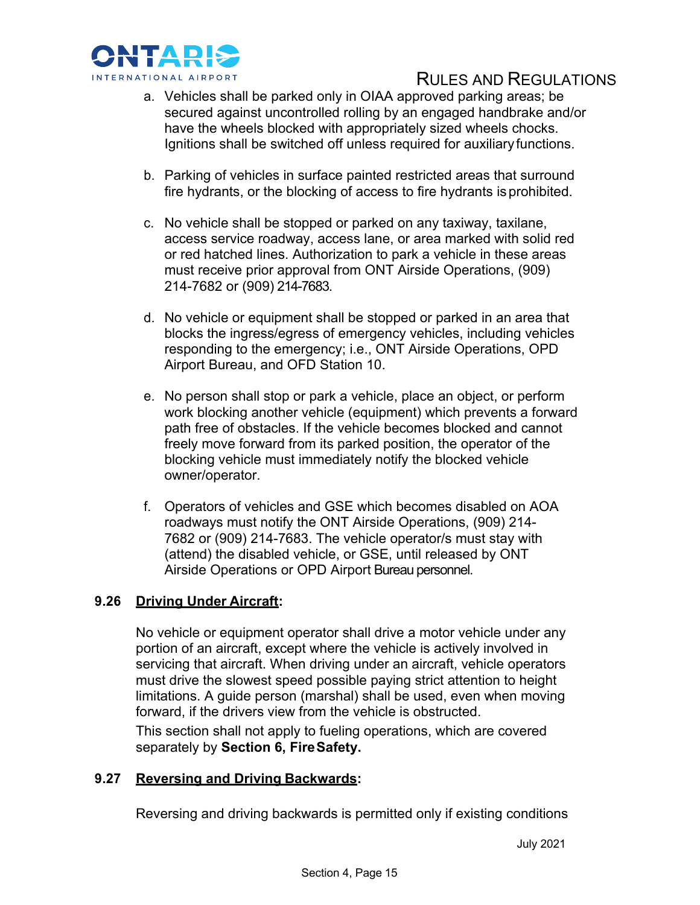

- a. Vehicles shall be parked only in OIAA approved parking areas; be secured against uncontrolled rolling by an engaged handbrake and/or have the wheels blocked with appropriately sized wheels chocks. Ignitions shall be switched off unless required for auxiliary functions.
- b. Parking of vehicles in surface painted restricted areas that surround fire hydrants, or the blocking of access to fire hydrants is prohibited.
- c. No vehicle shall be stopped or parked on any taxiway, taxilane, access service roadway, access lane, or area marked with solid red or red hatched lines. Authorization to park a vehicle in these areas must receive prior approval from ONT Airside Operations, (909) 214-7682 or (909) 214-7683.
- d. No vehicle or equipment shall be stopped or parked in an area that blocks the ingress/egress of emergency vehicles, including vehicles responding to the emergency; i.e., ONT Airside Operations, OPD Airport Bureau, and OFD Station 10.
- e. No person shall stop or park a vehicle, place an object, or perform work blocking another vehicle (equipment) which prevents a forward path free of obstacles. If the vehicle becomes blocked and cannot freely move forward from its parked position, the operator of the blocking vehicle must immediately notify the blocked vehicle owner/operator.
- f. Operators of vehicles and GSE which becomes disabled on AOA roadways must notify the ONT Airside Operations, (909) 214- 7682 or (909) 214-7683. The vehicle operator/s must stay with (attend) the disabled vehicle, or GSE, until released by ONT Airside Operations or OPD Airport Bureau personnel.

# **9.26 Driving Under Aircraft:**

No vehicle or equipment operator shall drive a motor vehicle under any portion of an aircraft, except where the vehicle is actively involved in servicing that aircraft. When driving under an aircraft, vehicle operators must drive the slowest speed possible paying strict attention to height limitations. A guide person (marshal) shall be used, even when moving forward, if the drivers view from the vehicle is obstructed.

This section shall not apply to fueling operations, which are covered separately by **Section 6, FireSafety.**

# **9.27 Reversing and Driving Backwards:**

Reversing and driving backwards is permitted only if existing conditions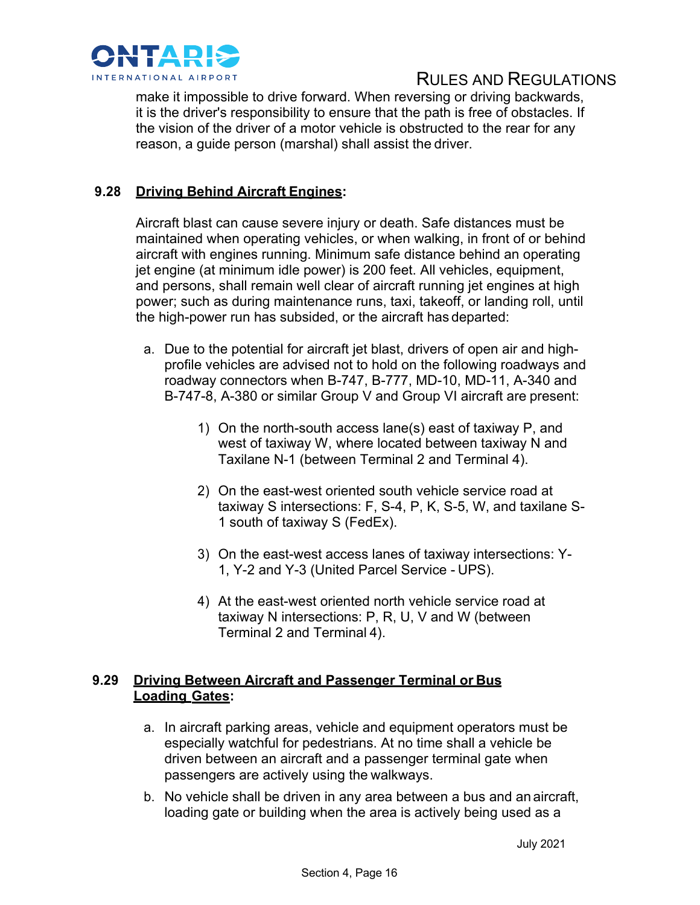

make it impossible to drive forward. When reversing or driving backwards, it is the driver's responsibility to ensure that the path is free of obstacles. If the vision of the driver of a motor vehicle is obstructed to the rear for any reason, a guide person (marshal) shall assist the driver.

# **9.28 Driving Behind Aircraft Engines:**

Aircraft blast can cause severe injury or death. Safe distances must be maintained when operating vehicles, or when walking, in front of or behind aircraft with engines running. Minimum safe distance behind an operating jet engine (at minimum idle power) is 200 feet. All vehicles, equipment, and persons, shall remain well clear of aircraft running jet engines at high power; such as during maintenance runs, taxi, takeoff, or landing roll, until the high-power run has subsided, or the aircraft has departed:

- a. Due to the potential for aircraft jet blast, drivers of open air and highprofile vehicles are advised not to hold on the following roadways and roadway connectors when B-747, B-777, MD-10, MD-11, A-340 and B-747-8, A-380 or similar Group V and Group VI aircraft are present:
	- 1) On the north-south access lane(s) east of taxiway P, and west of taxiway W, where located between taxiway N and Taxilane N-1 (between Terminal 2 and Terminal 4).
	- 2) On the east-west oriented south vehicle service road at taxiway S intersections: F, S-4, P, K, S-5, W, and taxilane S-1 south of taxiway S (FedEx).
	- 3) On the east-west access lanes of taxiway intersections: Y-1, Y-2 and Y-3 (United Parcel Service - UPS).
	- 4) At the east-west oriented north vehicle service road at taxiway N intersections: P, R, U, V and W (between Terminal 2 and Terminal 4).

# **9.29 Driving Between Aircraft and Passenger Terminal or Bus Loading Gates:**

- a. In aircraft parking areas, vehicle and equipment operators must be especially watchful for pedestrians. At no time shall a vehicle be driven between an aircraft and a passenger terminal gate when passengers are actively using the walkways.
- b. No vehicle shall be driven in any area between a bus and an aircraft, loading gate or building when the area is actively being used as a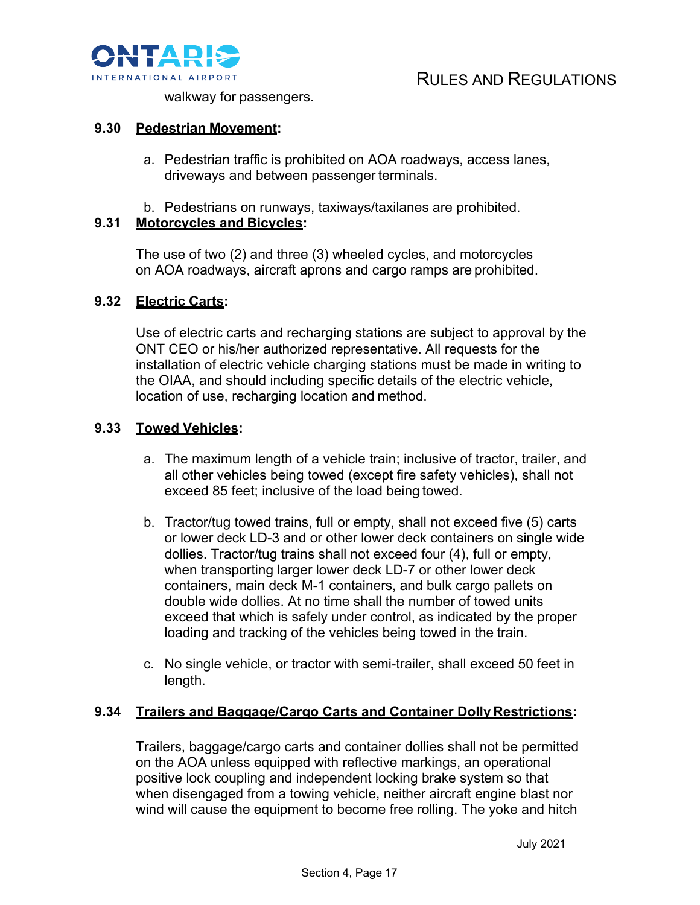

walkway for passengers.

#### **9.30 Pedestrian Movement:**

- a. Pedestrian traffic is prohibited on AOA roadways, access lanes, driveways and between passenger terminals.
- b. Pedestrians on runways, taxiways/taxilanes are prohibited.

# **9.31 Motorcycles and Bicycles:**

The use of two (2) and three (3) wheeled cycles, and motorcycles on AOA roadways, aircraft aprons and cargo ramps are prohibited.

#### **9.32 Electric Carts:**

Use of electric carts and recharging stations are subject to approval by the ONT CEO or his/her authorized representative. All requests for the installation of electric vehicle charging stations must be made in writing to the OIAA, and should including specific details of the electric vehicle, location of use, recharging location and method.

#### **9.33 Towed Vehicles:**

- a. The maximum length of a vehicle train; inclusive of tractor, trailer, and all other vehicles being towed (except fire safety vehicles), shall not exceed 85 feet; inclusive of the load being towed.
- b. Tractor/tug towed trains, full or empty, shall not exceed five (5) carts or lower deck LD-3 and or other lower deck containers on single wide dollies. Tractor/tug trains shall not exceed four (4), full or empty, when transporting larger lower deck LD-7 or other lower deck containers, main deck M-1 containers, and bulk cargo pallets on double wide dollies. At no time shall the number of towed units exceed that which is safely under control, as indicated by the proper loading and tracking of the vehicles being towed in the train.
- c. No single vehicle, or tractor with semi-trailer, shall exceed 50 feet in length.

# **9.34 Trailers and Baggage/Cargo Carts and Container Dolly Restrictions:**

Trailers, baggage/cargo carts and container dollies shall not be permitted on the AOA unless equipped with reflective markings, an operational positive lock coupling and independent locking brake system so that when disengaged from a towing vehicle, neither aircraft engine blast nor wind will cause the equipment to become free rolling. The yoke and hitch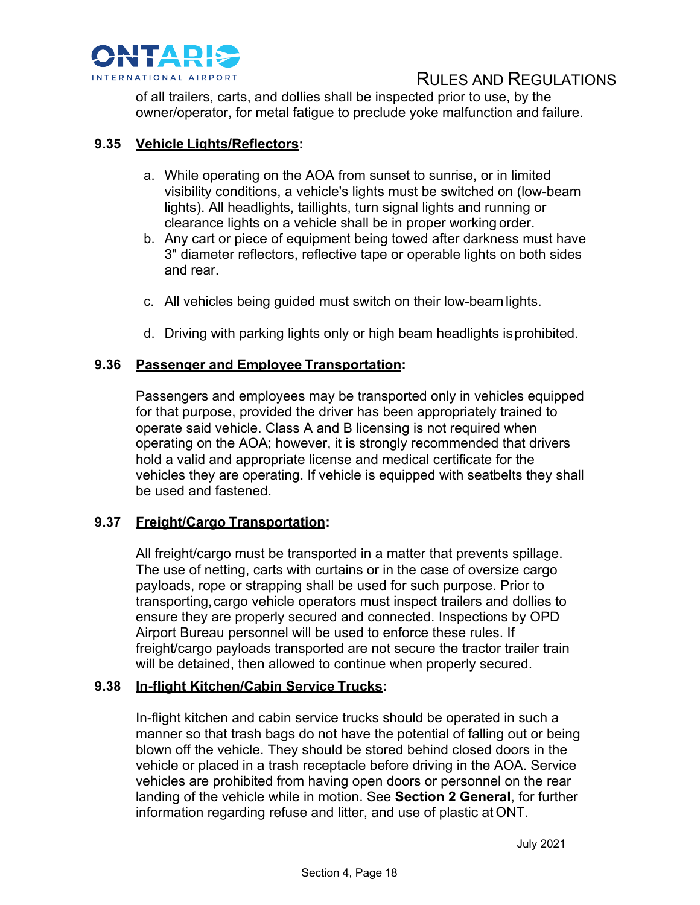

of all trailers, carts, and dollies shall be inspected prior to use, by the owner/operator, for metal fatigue to preclude yoke malfunction and failure.

# **9.35 Vehicle Lights/Reflectors:**

- a. While operating on the AOA from sunset to sunrise, or in limited visibility conditions, a vehicle's lights must be switched on (low-beam lights). All headlights, taillights, turn signal lights and running or clearance lights on a vehicle shall be in proper working order.
- b. Any cart or piece of equipment being towed after darkness must have 3" diameter reflectors, reflective tape or operable lights on both sides and rear.
- c. All vehicles being guided must switch on their low-beam lights.
- d. Driving with parking lights only or high beam headlights isprohibited.

#### **9.36 Passenger and Employee Transportation:**

Passengers and employees may be transported only in vehicles equipped for that purpose, provided the driver has been appropriately trained to operate said vehicle. Class A and B licensing is not required when operating on the AOA; however, it is strongly recommended that drivers hold a valid and appropriate license and medical certificate for the vehicles they are operating. If vehicle is equipped with seatbelts they shall be used and fastened.

# **9.37 Freight/Cargo Transportation:**

All freight/cargo must be transported in a matter that prevents spillage. The use of netting, carts with curtains or in the case of oversize cargo payloads, rope or strapping shall be used for such purpose. Prior to transporting,cargo vehicle operators must inspect trailers and dollies to ensure they are properly secured and connected. Inspections by OPD Airport Bureau personnel will be used to enforce these rules. If freight/cargo payloads transported are not secure the tractor trailer train will be detained, then allowed to continue when properly secured.

#### **9.38 In-flight Kitchen/Cabin Service Trucks:**

In-flight kitchen and cabin service trucks should be operated in such a manner so that trash bags do not have the potential of falling out or being blown off the vehicle. They should be stored behind closed doors in the vehicle or placed in a trash receptacle before driving in the AOA. Service vehicles are prohibited from having open doors or personnel on the rear landing of the vehicle while in motion. See **Section 2 General**, for further information regarding refuse and litter, and use of plastic at ONT.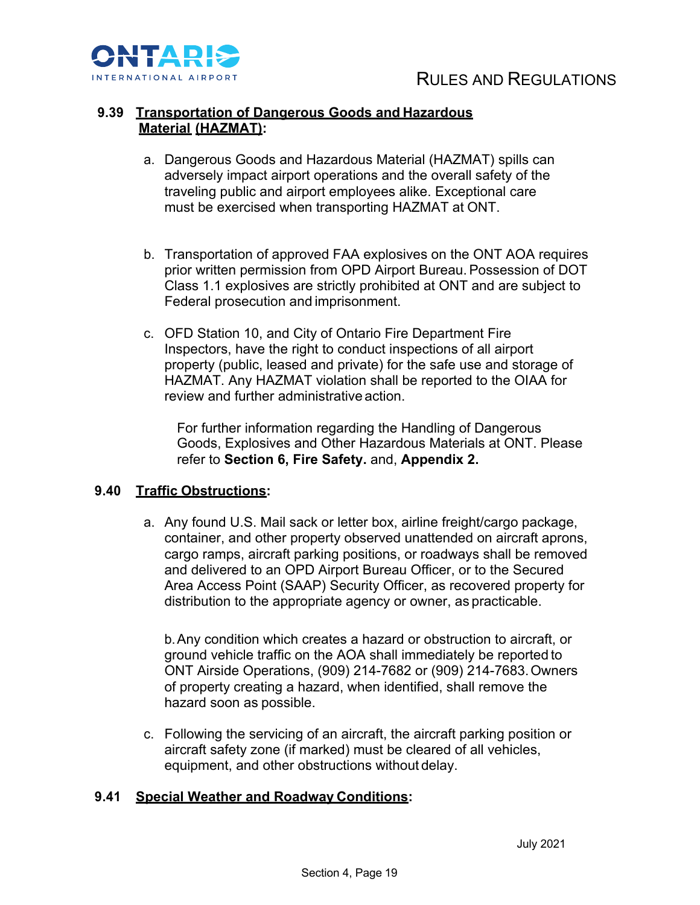

# **9.39 Transportation of Dangerous Goods and Hazardous Material (HAZMAT):**

- a. Dangerous Goods and Hazardous Material (HAZMAT) spills can adversely impact airport operations and the overall safety of the traveling public and airport employees alike. Exceptional care must be exercised when transporting HAZMAT at ONT.
- b. Transportation of approved FAA explosives on the ONT AOA requires prior written permission from OPD Airport Bureau.Possession of DOT Class 1.1 explosives are strictly prohibited at ONT and are subject to Federal prosecution and imprisonment.
- c. OFD Station 10, and City of Ontario Fire Department Fire Inspectors, have the right to conduct inspections of all airport property (public, leased and private) for the safe use and storage of HAZMAT. Any HAZMAT violation shall be reported to the OIAA for review and further administrative action.

For further information regarding the Handling of Dangerous Goods, Explosives and Other Hazardous Materials at ONT. Please refer to **Section 6, Fire Safety.** and, **Appendix 2.**

# **9.40 Traffic Obstructions:**

a. Any found U.S. Mail sack or letter box, airline freight/cargo package, container, and other property observed unattended on aircraft aprons, cargo ramps, aircraft parking positions, or roadways shall be removed and delivered to an OPD Airport Bureau Officer, or to the Secured Area Access Point (SAAP) Security Officer, as recovered property for distribution to the appropriate agency or owner, as practicable.

b.Any condition which creates a hazard or obstruction to aircraft, or ground vehicle traffic on the AOA shall immediately be reported to ONT Airside Operations, (909) 214-7682 or (909) 214-7683.Owners of property creating a hazard, when identified, shall remove the hazard soon as possible.

c. Following the servicing of an aircraft, the aircraft parking position or aircraft safety zone (if marked) must be cleared of all vehicles, equipment, and other obstructions without delay.

#### **9.41 Special Weather and Roadway Conditions:**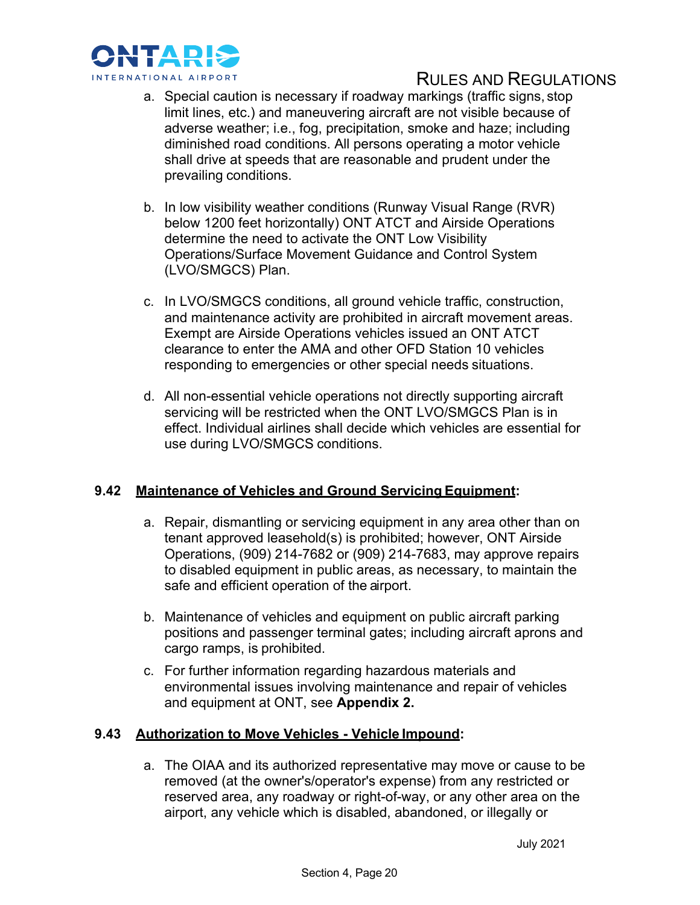

- a. Special caution is necessary if roadway markings (traffic signs, stop limit lines, etc.) and maneuvering aircraft are not visible because of adverse weather; i.e., fog, precipitation, smoke and haze; including diminished road conditions. All persons operating a motor vehicle shall drive at speeds that are reasonable and prudent under the prevailing conditions.
- b. In low visibility weather conditions (Runway Visual Range (RVR) below 1200 feet horizontally) ONT ATCT and Airside Operations determine the need to activate the ONT Low Visibility Operations/Surface Movement Guidance and Control System (LVO/SMGCS) Plan.
- c. In LVO/SMGCS conditions, all ground vehicle traffic, construction, and maintenance activity are prohibited in aircraft movement areas. Exempt are Airside Operations vehicles issued an ONT ATCT clearance to enter the AMA and other OFD Station 10 vehicles responding to emergencies or other special needs situations.
- d. All non-essential vehicle operations not directly supporting aircraft servicing will be restricted when the ONT LVO/SMGCS Plan is in effect. Individual airlines shall decide which vehicles are essential for use during LVO/SMGCS conditions.

# **9.42 Maintenance of Vehicles and Ground Servicing Equipment:**

- a. Repair, dismantling or servicing equipment in any area other than on tenant approved leasehold(s) is prohibited; however, ONT Airside Operations, (909) 214-7682 or (909) 214-7683, may approve repairs to disabled equipment in public areas, as necessary, to maintain the safe and efficient operation of the airport.
- b. Maintenance of vehicles and equipment on public aircraft parking positions and passenger terminal gates; including aircraft aprons and cargo ramps, is prohibited.
- c. For further information regarding hazardous materials and environmental issues involving maintenance and repair of vehicles and equipment at ONT, see **Appendix 2.**

# **9.43 Authorization to Move Vehicles - Vehicle Impound:**

a. The OIAA and its authorized representative may move or cause to be removed (at the owner's/operator's expense) from any restricted or reserved area, any roadway or right-of-way, or any other area on the airport, any vehicle which is disabled, abandoned, or illegally or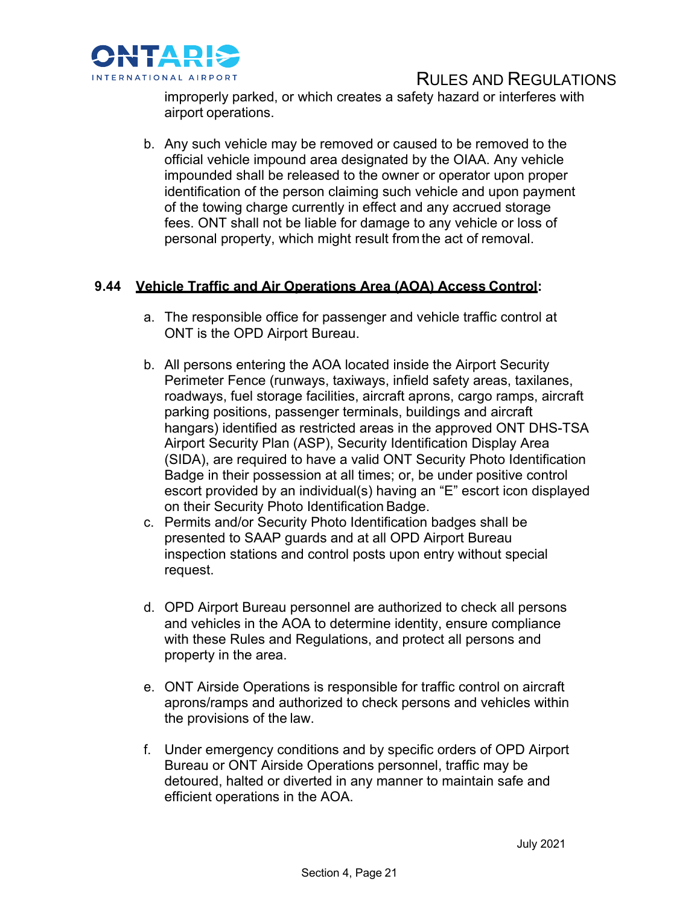

improperly parked, or which creates a safety hazard or interferes with airport operations.

b. Any such vehicle may be removed or caused to be removed to the official vehicle impound area designated by the OIAA. Any vehicle impounded shall be released to the owner or operator upon proper identification of the person claiming such vehicle and upon payment of the towing charge currently in effect and any accrued storage fees. ONT shall not be liable for damage to any vehicle or loss of personal property, which might result fromthe act of removal.

# **9.44 Vehicle Traffic and Air Operations Area (AOA) Access Control:**

- a. The responsible office for passenger and vehicle traffic control at ONT is the OPD Airport Bureau.
- b. All persons entering the AOA located inside the Airport Security Perimeter Fence (runways, taxiways, infield safety areas, taxilanes, roadways, fuel storage facilities, aircraft aprons, cargo ramps, aircraft parking positions, passenger terminals, buildings and aircraft hangars) identified as restricted areas in the approved ONT DHS-TSA Airport Security Plan (ASP), Security Identification Display Area (SIDA), are required to have a valid ONT Security Photo Identification Badge in their possession at all times; or, be under positive control escort provided by an individual(s) having an "E" escort icon displayed on their Security Photo Identification Badge.
- c. Permits and/or Security Photo Identification badges shall be presented to SAAP guards and at all OPD Airport Bureau inspection stations and control posts upon entry without special request.
- d. OPD Airport Bureau personnel are authorized to check all persons and vehicles in the AOA to determine identity, ensure compliance with these Rules and Regulations, and protect all persons and property in the area.
- e. ONT Airside Operations is responsible for traffic control on aircraft aprons/ramps and authorized to check persons and vehicles within the provisions of the law.
- f. Under emergency conditions and by specific orders of OPD Airport Bureau or ONT Airside Operations personnel, traffic may be detoured, halted or diverted in any manner to maintain safe and efficient operations in the AOA.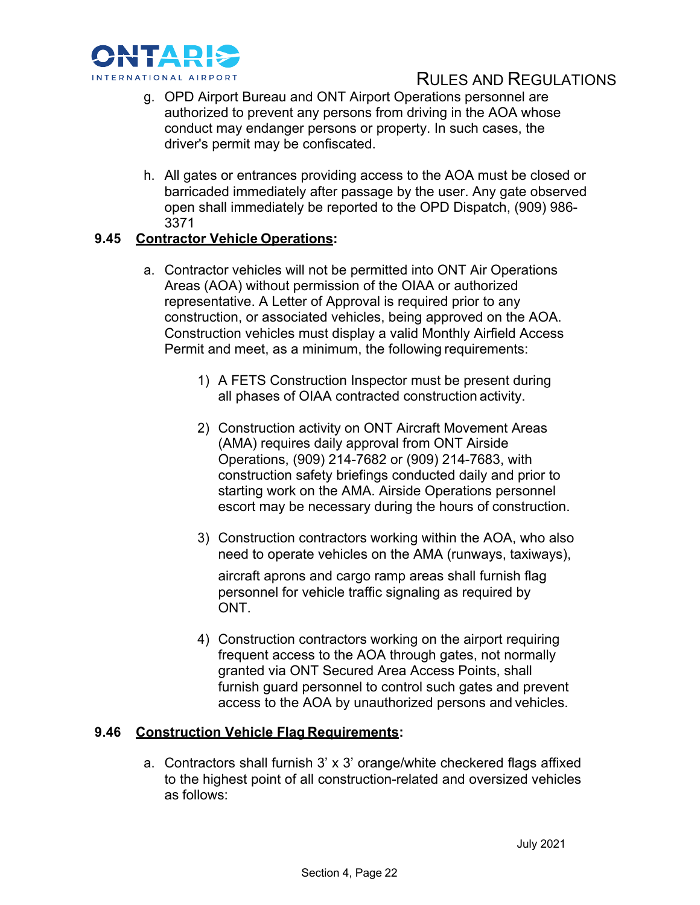

- g. OPD Airport Bureau and ONT Airport Operations personnel are authorized to prevent any persons from driving in the AOA whose conduct may endanger persons or property. In such cases, the driver's permit may be confiscated.
- h. All gates or entrances providing access to the AOA must be closed or barricaded immediately after passage by the user. Any gate observed open shall immediately be reported to the OPD Dispatch, (909) 986- 3371

# **9.45 Contractor Vehicle Operations:**

- a. Contractor vehicles will not be permitted into ONT Air Operations Areas (AOA) without permission of the OIAA or authorized representative. A Letter of Approval is required prior to any construction, or associated vehicles, being approved on the AOA. Construction vehicles must display a valid Monthly Airfield Access Permit and meet, as a minimum, the following requirements:
	- 1) A FETS Construction Inspector must be present during all phases of OIAA contracted construction activity.
	- 2) Construction activity on ONT Aircraft Movement Areas (AMA) requires daily approval from ONT Airside Operations, (909) 214-7682 or (909) 214-7683, with construction safety briefings conducted daily and prior to starting work on the AMA. Airside Operations personnel escort may be necessary during the hours of construction.
	- 3) Construction contractors working within the AOA, who also need to operate vehicles on the AMA (runways, taxiways),

aircraft aprons and cargo ramp areas shall furnish flag personnel for vehicle traffic signaling as required by ONT.

4) Construction contractors working on the airport requiring frequent access to the AOA through gates, not normally granted via ONT Secured Area Access Points, shall furnish guard personnel to control such gates and prevent access to the AOA by unauthorized persons and vehicles.

# **9.46 Construction Vehicle Flag Requirements:**

a. Contractors shall furnish 3' x 3' orange/white checkered flags affixed to the highest point of all construction-related and oversized vehicles as follows: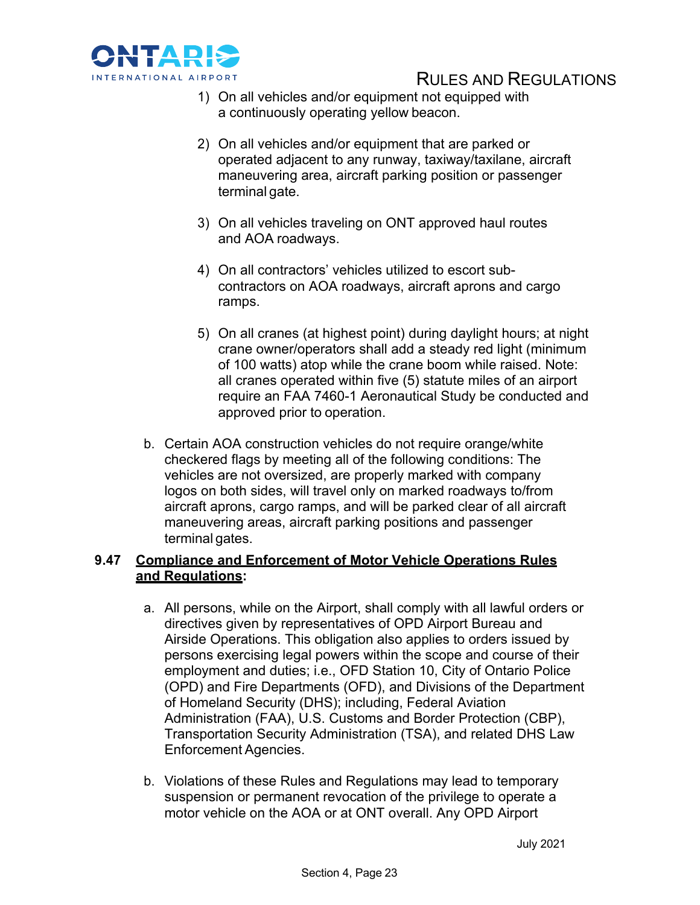

- 1) On all vehicles and/or equipment not equipped with a continuously operating yellow beacon.
- 2) On all vehicles and/or equipment that are parked or operated adjacent to any runway, taxiway/taxilane, aircraft maneuvering area, aircraft parking position or passenger terminal gate.
- 3) On all vehicles traveling on ONT approved haul routes and AOA roadways.
- 4) On all contractors' vehicles utilized to escort subcontractors on AOA roadways, aircraft aprons and cargo ramps.
- 5) On all cranes (at highest point) during daylight hours; at night crane owner/operators shall add a steady red light (minimum of 100 watts) atop while the crane boom while raised. Note: all cranes operated within five (5) statute miles of an airport require an FAA 7460-1 Aeronautical Study be conducted and approved prior to operation.
- b. Certain AOA construction vehicles do not require orange/white checkered flags by meeting all of the following conditions: The vehicles are not oversized, are properly marked with company logos on both sides, will travel only on marked roadways to/from aircraft aprons, cargo ramps, and will be parked clear of all aircraft maneuvering areas, aircraft parking positions and passenger terminal gates.

# **9.47 Compliance and Enforcement of Motor Vehicle Operations Rules and Regulations:**

- a. All persons, while on the Airport, shall comply with all lawful orders or directives given by representatives of OPD Airport Bureau and Airside Operations. This obligation also applies to orders issued by persons exercising legal powers within the scope and course of their employment and duties; i.e., OFD Station 10, City of Ontario Police (OPD) and Fire Departments (OFD), and Divisions of the Department of Homeland Security (DHS); including, Federal Aviation Administration (FAA), U.S. Customs and Border Protection (CBP), Transportation Security Administration (TSA), and related DHS Law Enforcement Agencies.
- b. Violations of these Rules and Regulations may lead to temporary suspension or permanent revocation of the privilege to operate a motor vehicle on the AOA or at ONT overall. Any OPD Airport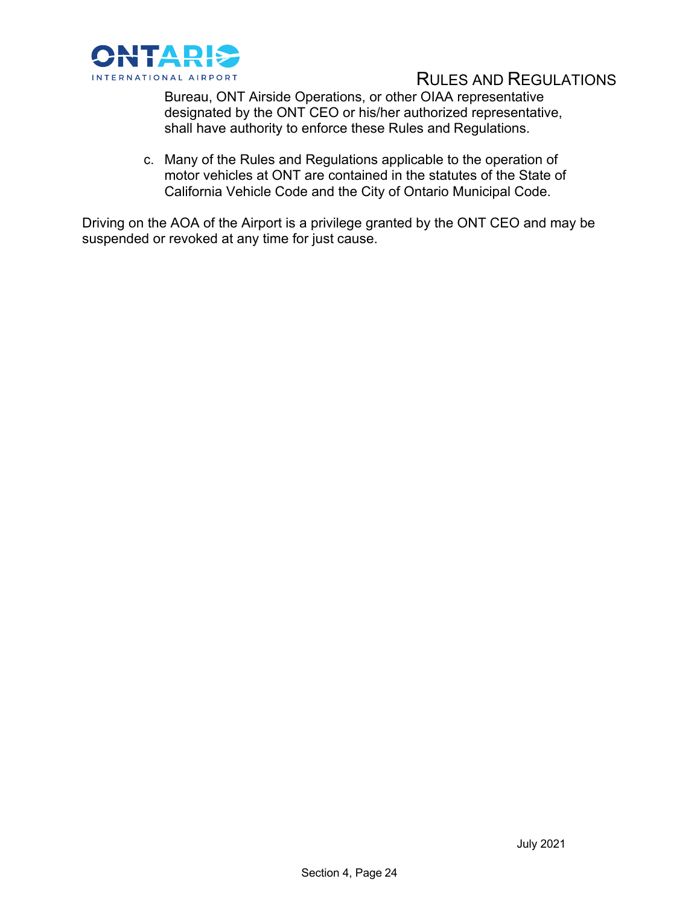

Bureau, ONT Airside Operations, or other OIAA representative designated by the ONT CEO or his/her authorized representative, shall have authority to enforce these Rules and Regulations.

c. Many of the Rules and Regulations applicable to the operation of motor vehicles at ONT are contained in the statutes of the State of California Vehicle Code and the City of Ontario Municipal Code.

Driving on the AOA of the Airport is a privilege granted by the ONT CEO and may be suspended or revoked at any time for just cause.